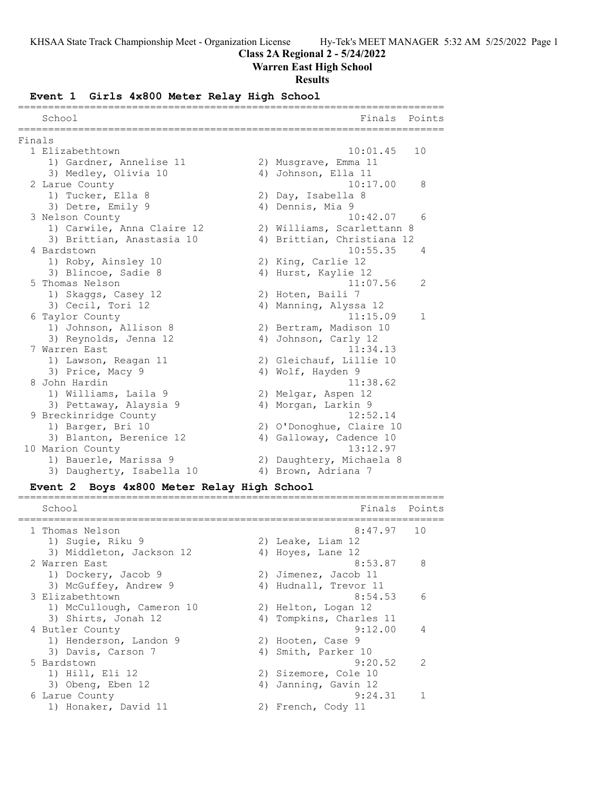# **Class 2A Regional 2 - 5/24/2022**

# **Warren East High School**

# **Results**

# **Event 1 Girls 4x800 Meter Relay High School**

|        | School                     |    | Finals                     | Points       |
|--------|----------------------------|----|----------------------------|--------------|
| Finals |                            |    |                            |              |
|        | 1 Elizabethtown            |    | 10:01.45                   | 10           |
|        | 1) Gardner, Annelise 11    |    | 2) Musgrave, Emma 11       |              |
|        | 3) Medley, Olivia 10       |    | 4) Johnson, Ella 11        |              |
|        | 2 Larue County             |    | 10:17.00                   | 8            |
|        | 1) Tucker, Ella 8          |    | 2) Day, Isabella 8         |              |
|        | 3) Detre, Emily 9          |    | 4) Dennis, Mia 9           |              |
|        | 3 Nelson County            |    | 10:42.07                   | 6            |
|        | 1) Carwile, Anna Claire 12 |    | 2) Williams, Scarlettann 8 |              |
|        | 3) Brittian, Anastasia 10  |    | 4) Brittian, Christiana 12 |              |
|        | 4 Bardstown                |    | 10:55.35                   | 4            |
|        | 1) Roby, Ainsley 10        |    | 2) King, Carlie 12         |              |
|        | 3) Blincoe, Sadie 8        |    | 4) Hurst, Kaylie 12        |              |
|        | 5 Thomas Nelson            |    | 11:07.56                   | 2            |
|        | 1) Skaggs, Casey 12        |    | 2) Hoten, Baili 7          |              |
|        | 3) Cecil, Tori 12          |    | 4) Manning, Alyssa 12      |              |
|        | 6 Taylor County            |    | 11:15.09                   | $\mathbf{1}$ |
|        | 1) Johnson, Allison 8      |    | 2) Bertram, Madison 10     |              |
|        | 3) Reynolds, Jenna 12      | 4) | Johnson, Carly 12          |              |
|        | 7 Warren East              |    | 11:34.13                   |              |
|        | 1) Lawson, Reagan 11       |    | 2) Gleichauf, Lillie 10    |              |
|        | 3) Price, Macy 9           |    | 4) Wolf, Hayden 9          |              |
|        | 8 John Hardin              |    | 11:38.62                   |              |
|        | 1) Williams, Laila 9       |    | 2) Melgar, Aspen 12        |              |
|        | 3) Pettaway, Alaysia 9     |    | 4) Morgan, Larkin 9        |              |
|        | 9 Breckinridge County      |    | 12:52.14                   |              |
|        | 1) Barger, Bri 10          |    | 2) O'Donoghue, Claire 10   |              |
|        | 3) Blanton, Berenice 12    |    | 4) Galloway, Cadence 10    |              |
|        | 10 Marion County           |    | 13:12.97                   |              |
|        | 1) Bauerle, Marissa 9      |    | 2) Daughtery, Michaela 8   |              |
|        | 3) Daugherty, Isabella 10  |    | 4) Brown, Adriana 7        |              |

# **Event 2 Boys 4x800 Meter Relay High School**

|   | School                    | Finals                  | Points         |
|---|---------------------------|-------------------------|----------------|
|   | 1 Thomas Nelson           | $8:47.97$ 10            |                |
|   | 1) Sugie, Riku 9          | 2) Leake, Liam 12       |                |
|   | 3) Middleton, Jackson 12  | 4) Hoyes, Lane 12       |                |
|   | 2 Warren East             | 8:53.87                 | - 8            |
|   | 1) Dockery, Jacob 9       | 2) Jimenez, Jacob 11    |                |
|   | 3) McGuffey, Andrew 9     | 4) Hudnall, Trevor 11   |                |
|   | 3 Elizabethtown           | 8:54.53                 | 6              |
|   | 1) McCullough, Cameron 10 | 2) Helton, Logan 12     |                |
|   | 3) Shirts, Jonah 12       | 4) Tompkins, Charles 11 |                |
|   | 4 Butler County           | 9:12.00                 | $\overline{4}$ |
|   | 1) Henderson, Landon 9    | 2) Hooten, Case 9       |                |
|   | 3) Davis, Carson 7        | 4) Smith, Parker 10     |                |
|   | 5 Bardstown               | 9:20.52                 | $\mathcal{P}$  |
|   | 1) Hill, Eli 12           | 2) Sizemore, Cole 10    |                |
|   | 3) Obeng, Eben 12         | 4) Janning, Gavin 12    |                |
| 6 | Larue County              | 9:24.31                 |                |
|   | 1) Honaker, David 11      | 2) French, Cody 11      |                |
|   |                           |                         |                |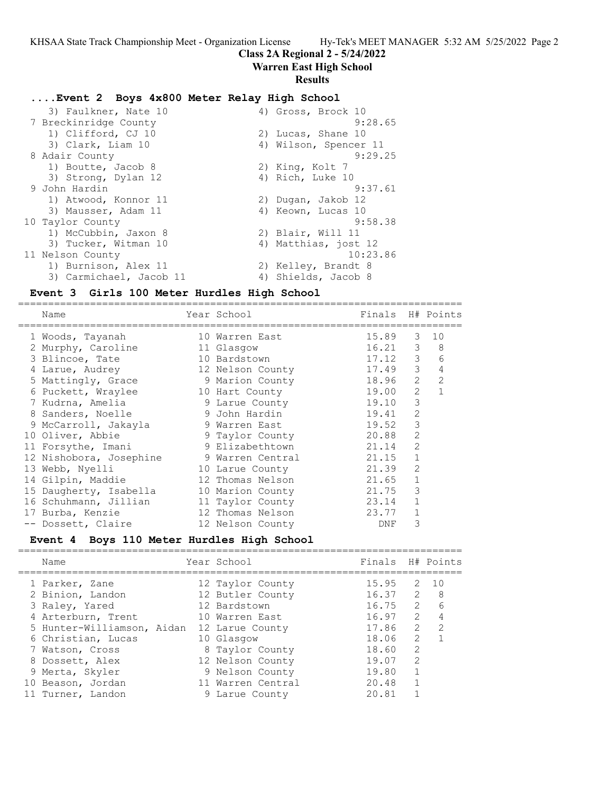==========================================================================

# **Class 2A Regional 2 - 5/24/2022**

### **Warren East High School**

### **Results**

### **....Event 2 Boys 4x800 Meter Relay High School**

| 3) Faulkner, Nate 10    | 4) Gross, Brock 10    |
|-------------------------|-----------------------|
| 7 Breckinridge County   | 9:28.65               |
| 1) Clifford, CJ 10      | 2) Lucas, Shane 10    |
| 3) Clark, Liam 10       | 4) Wilson, Spencer 11 |
| 8 Adair County          | 9:29.25               |
| 1) Boutte, Jacob 8      | 2) King, Kolt 7       |
| 3) Strong, Dylan 12     | 4) Rich, Luke 10      |
| 9 John Hardin           | 9:37.61               |
| 1) Atwood, Konnor 11    | 2) Dugan, Jakob 12    |
| 3) Mausser, Adam 11     | 4) Keown, Lucas 10    |
| 10 Taylor County        | 9:58.38               |
| 1) McCubbin, Jaxon 8    | 2) Blair, Will 11     |
| 3) Tucker, Witman 10    | 4) Matthias, jost 12  |
| 11 Nelson County        | 10:23.86              |
| 1) Burnison, Alex 11    | 2) Kelley, Brandt 8   |
| 3) Carmichael, Jacob 11 | 4) Shields, Jacob 8   |

### **Event 3 Girls 100 Meter Hurdles High School**

==========================================================================

| Name                    | Year School      | Finals H# Points |                |                |
|-------------------------|------------------|------------------|----------------|----------------|
| 1 Woods, Tayanah        | 10 Warren East   | 15.89            | $\mathcal{S}$  | 10             |
| 2 Murphy, Caroline      | 11 Glasgow       | 16.21            | 3              | 8              |
| 3 Blincoe, Tate         | 10 Bardstown     | $17.12$ 3        |                | 6              |
| 4 Larue, Audrey         | 12 Nelson County | 17.49            | 3              | $\overline{4}$ |
| 5 Mattingly, Grace      | 9 Marion County  | 18.96            | 2              | $\overline{2}$ |
| 6 Puckett, Wraylee      | 10 Hart County   | 19.00            | 2              |                |
| 7 Kudrna, Amelia        | 9 Larue County   | 19.10            | 3              |                |
| 8 Sanders, Noelle       | 9 John Hardin    | 19.41            | 2              |                |
| 9 McCarroll, Jakayla    | 9 Warren East    | 19.52            | 3              |                |
| 10 Oliver, Abbie        | 9 Taylor County  | 20.88            | 2              |                |
| 11 Forsythe, Imani      | 9 Elizabethtown  | 21.14            | 2              |                |
| 12 Nishobora, Josephine | 9 Warren Central | 21.15            | $\mathbf{1}$   |                |
| 13 Webb, Nyelli         | 10 Larue County  | 21.39            | $\overline{2}$ |                |
| 14 Gilpin, Maddie       | 12 Thomas Nelson | 21.65            | $\mathbf{1}$   |                |
| 15 Daugherty, Isabella  | 10 Marion County | 21.75            | 3              |                |
| 16 Schuhmann, Jillian   | 11 Taylor County | 23.14            | $\mathbf{1}$   |                |
| 17 Burba, Kenzie        | 12 Thomas Nelson | 23.77            | $\mathbf{1}$   |                |
| -- Dossett, Claire      | 12 Nelson County | DNF              | 3              |                |

### **Event 4 Boys 110 Meter Hurdles High School**

| Name                       | Year School       | Finals H# Points |               |                  |
|----------------------------|-------------------|------------------|---------------|------------------|
| 1 Parker, Zane             | 12 Taylor County  | 15.95            |               | 2 10             |
| 2 Binion, Landon           | 12 Butler County  | 16.372           |               | - 8              |
| 3 Raley, Yared             | 12 Bardstown      | 16.75            |               | $2^{\circ}$<br>6 |
| 4 Arterburn, Trent         | 10 Warren East    | 16.97            | 2             | 4                |
| 5 Hunter-Williamson, Aidan | 12 Larue County   | 17.86            | 2             | $\overline{2}$   |
| 6 Christian, Lucas         | 10 Glasgow        | 18.06            | $\mathcal{L}$ |                  |
| 7 Watson, Cross            | 8 Taylor County   | 18.60            | $\mathcal{L}$ |                  |
| 8 Dossett, Alex            | 12 Nelson County  | 19.07            | $\mathcal{L}$ |                  |
| 9 Merta, Skyler            | 9 Nelson County   | 19.80            | 1             |                  |
| 10 Beason, Jordan          | 11 Warren Central | 20.48            | $\mathbf{1}$  |                  |
| 11 Turner, Landon          | 9 Larue County    | 20.81            |               |                  |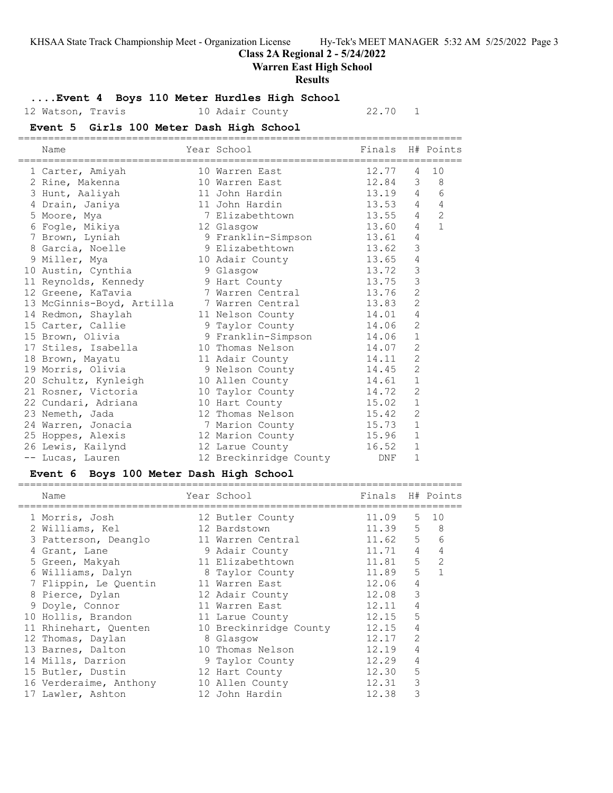### **Class 2A Regional 2 - 5/24/2022**

### **Warren East High School**

#### **Results**

### **....Event 4 Boys 110 Meter Hurdles High School**

# 12 Watson, Travis 10 Adair County 22.70 1

# **Event 5 Girls 100 Meter Dash High School**

| Name                                       | Year School              | Finals H# Points |                |                |
|--------------------------------------------|--------------------------|------------------|----------------|----------------|
| 1 Carter, Amiyah                           | 10 Warren East           | 12.77            | 4              | 10             |
| 2 Rine, Makenna                            | 10 Warren East           | 12.84 3 8        |                |                |
| 3 Hunt, Aaliyah                            | 11 John Hardin           | 13.19 4          |                | 6              |
| 4 Drain, Janiya                            | 11 John Hardin           | 13.53            | $\overline{4}$ | $\overline{4}$ |
| 5 Moore, Mya                               | 7 Elizabethtown          | 13.55            | $\overline{4}$ | $\overline{2}$ |
| 6 Fogle, Mikiya                            | 12 Glasgow               | 13.60            | 4              | $\mathbf{1}$   |
| 7 Brown, Lyniah                            | 9 Franklin-Simpson 13.61 |                  | $\overline{4}$ |                |
| 8 Garcia, Noelle                           | 9 Elizabethtown 13.62    |                  | 3              |                |
| 9 Miller, Mya                              | 10 Adair County          | 13.65            | $\overline{4}$ |                |
| 10 Austin, Cynthia 9 Glasgow               |                          | 13.72            | 3              |                |
| 11 Reynolds, Kennedy 5 9 Hart County       |                          | 13.75            | 3              |                |
| 12 Greene, KaTavia                         | 7 Warren Central         | 13.76            | $\overline{2}$ |                |
| 13 McGinnis-Boyd, Artilla 7 Warren Central |                          | 13.83            | $\overline{2}$ |                |
| 14 Redmon, Shaylah                         | 11 Nelson County 14.01   |                  | $\sqrt{4}$     |                |
| 15 Carter, Callie                          | 9 Taylor County          | 14.06            | $\overline{2}$ |                |
| 15 Brown, Olivia                           | 9 Franklin-Simpson 14.06 |                  | $1\,$          |                |
| 17 Stiles, Isabella                        | 10 Thomas Nelson         | 14.07            | $\overline{2}$ |                |
| 18 Brown, Mayatu                           | 11 Adair County          | 14.11            | $\overline{c}$ |                |
| 19 Morris, Olivia                          | 9 Nelson County 14.45    |                  | $\overline{2}$ |                |
| 20 Schultz, Kynleigh 10 Allen County       |                          | 14.61            | $\mathbf{1}$   |                |
| 21 Rosner, Victoria                        | 10 Taylor County         | 14.72            | $\overline{2}$ |                |
| 22 Cundari, Adriana 10 Hart County         |                          | 15.02            | $\mathbf{1}$   |                |
| 23 Nemeth, Jada                            | 12 Thomas Nelson         | 15.42            | $\overline{c}$ |                |
| 24 Warren, Jonacia                         | 7 Marion County 15.73    |                  | $1\,$          |                |
| 25 Hoppes, Alexis                          | 12 Marion County 15.96   |                  | $\mathbf{1}$   |                |
| 26 Lewis, Kailynd                          | 12 Larue County          | 16.52            | $\mathbf{1}$   |                |
| -- Lucas, Lauren                           | 12 Breckinridge County   | DNF              | $\mathbf{1}$   |                |

### **Event 6 Boys 100 Meter Dash High School**

========================================================================== Year School **Finals** H# Points ========================================================================== 1 Morris, Josh 12 Butler County 11.09 5 10 2 Williams, Kel 12 Bardstown 11.39 5 8 3 Patterson, Deanglo 11 Warren Central 11.62 5 6 4 Grant, Lane 9 Adair County 11.71 4 4 5 Green, Makyah 11 Elizabethtown 11.81 5 2 6 Williams, Dalyn 8 Taylor County 11.89 5 1 7 Flippin, Le Quentin 11 Warren East 12.06 4 8 Pierce, Dylan 12 Adair County 12.08 3 9 Doyle, Connor 11 Warren East 12.11 4 10 Hollis, Brandon 11 Larue County 12.15 5 11 Rhinehart, Quenten 10 Breckinridge County 12.15 4 12 Thomas, Daylan 8 Glasgow 12.17 2 13 Barnes, Dalton 10 Thomas Nelson 12.19 4 14 Mills, Darrion 9 Taylor County 12.29 4 15 Butler, Dustin 12 Hart County 12.30 5 16 Verderaime, Anthony 10 Allen County 12.31 3 17 Lawler, Ashton 12 John Hardin 12.38 3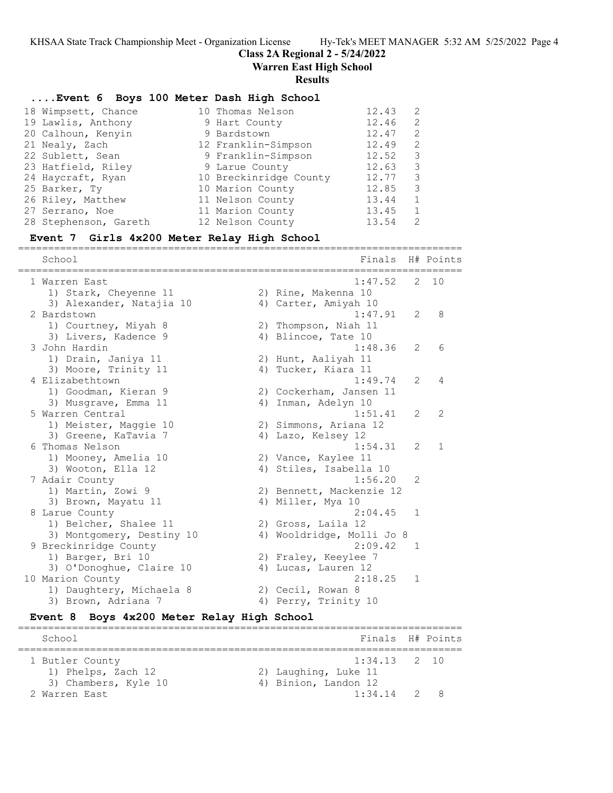**Class 2A Regional 2 - 5/24/2022**

**Warren East High School**

#### **Results**

### **....Event 6 Boys 100 Meter Dash High School**

| 18 Wimpsett, Chance   | 10 Thomas Nelson       | 12.43<br>2             |
|-----------------------|------------------------|------------------------|
| 19 Lawlis, Anthony    | 9 Hart County          | 12.46<br>2             |
| 20 Calhoun, Kenyin    | 9 Bardstown            | 12.47<br>$\mathcal{L}$ |
| 21 Nealy, Zach        | 12 Franklin-Simpson    | 12.49<br>2             |
| 22 Sublett, Sean      | 9 Franklin-Simpson     | 12.52<br>3             |
| 23 Hatfield, Riley    | 9 Larue County         | 12.63<br>3             |
| 24 Haycraft, Ryan     | 10 Breckinridge County | 12.77<br>3             |
| 25 Barker, Ty         | 10 Marion County       | 12.85<br>3             |
| 26 Riley, Matthew     | 11 Nelson County       | 13.44<br>$\mathbf{1}$  |
| 27 Serrano, Noe       | 11 Marion County       | 13.45                  |
| 28 Stephenson, Gareth | 12 Nelson County       | 13.54<br>$\mathcal{L}$ |

#### **Event 7 Girls 4x200 Meter Relay High School**

========================================================================== School **Finals** H# Points ========================================================================== 1 Warren East 1:47.52 2 10 1) Stark, Cheyenne 11 2) Rine, Makenna 10 3) Alexander, Natajia 10  $\hskip10mm$  4) Carter, Amiyah 10 2 Bardstown 1:47.91 2 8 1) Courtney, Miyah 8 2) Thompson, Niah 11 3) Livers, Kadence 9 4) Blincoe, Tate 10 3 John Hardin 1:48.36 2 6 1) Drain, Janiya 11  $\qquad \qquad$  2) Hunt, Aaliyah 11 3) Moore, Trinity 11 4) Tucker, Kiara 11 4 Elizabethtown 1:49.74 2 4 1) Goodman, Kieran 9 2) Cockerham, Jansen 11 3) Musgrave, Emma 11 1 4) Inman, Adelyn 10 5 Warren Central 1:51.41 2 2 1) Meister, Maggie 10 2) Simmons, Ariana 12 3) Greene, KaTavia 7 (4) Lazo, Kelsey 12 6 Thomas Nelson 1:54.31 2 1 1) Mooney, Amelia 10 2) Vance, Kaylee 11 3) Wooton, Ella 12 4) Stiles, Isabella 10 7 Adair County 1:56.20 2 1) Martin, Zowi 9 2) Bennett, Mackenzie 12 3) Brown, Mayatu 11 4) Miller, Mya 10 8 Larue County 2:04.45 1 1) Belcher, Shalee 11 2) Gross, Laila 12 3) Montgomery, Destiny 10 4) Wooldridge, Molli Jo 8 9 Breckinridge County 2:09.42 1 1) Barger, Bri 10 2) Fraley, Keeylee 7 3) O'Donoghue, Claire 10 (4) Lucas, Lauren 12 10 Marion County 2:18.25 1 1) Daughtery, Michaela 8 2) Cecil, Rowan 8 3) Brown, Adriana 7 (4) Perry, Trinity 10

### **Event 8 Boys 4x200 Meter Relay High School**

========================================================================== School Finals H# Points ========================================================================== 1 Butler County 1:34.13 2 10 1) Phelps, Zach 12 2) Laughing, Luke 11 3) Chambers, Kyle 10 (4) Binion, Landon 12 2 Warren East 1:34.14 2 8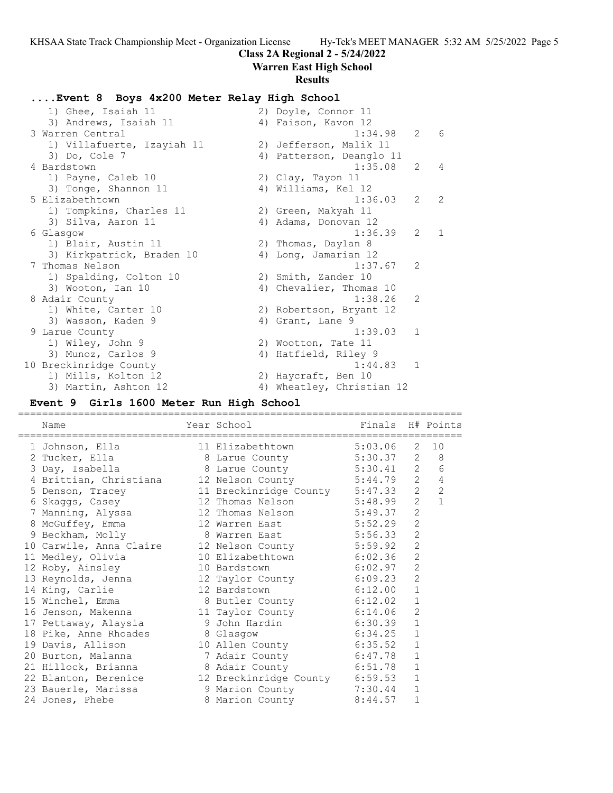### **Class 2A Regional 2 - 5/24/2022**

**Warren East High School**

#### **Results**

### **....Event 8 Boys 4x200 Meter Relay High School**

| 1) Ghee, Isaiah 11         |    | 2) Doyle, Connor 11       |                 |                |
|----------------------------|----|---------------------------|-----------------|----------------|
| 3) Andrews, Isaiah 11      |    | 4) Faison, Kavon 12       |                 |                |
| 3 Warren Central           |    | 1:34.98                   | $2\overline{6}$ |                |
| 1) Villafuerte, Izayiah 11 |    | 2) Jefferson, Malik 11    |                 |                |
| 3) Do, Cole 7              |    | 4) Patterson, Deanglo 11  |                 |                |
| 4 Bardstown                |    | 1:35.08                   | $2^{\circ}$     | $\overline{4}$ |
| 1) Payne, Caleb 10         |    | 2) Clay, Tayon 11         |                 |                |
| 3) Tonge, Shannon 11       |    | 4) Williams, Kel 12       |                 |                |
| 5 Elizabethtown            |    | 1:36.03                   | 2               | 2              |
| 1) Tompkins, Charles 11    |    | 2) Green, Makyah 11       |                 |                |
| 3) Silva, Aaron 11         |    | 4) Adams, Donovan 12      |                 |                |
| 6 Glasgow                  |    | 1:36.39                   | 2               | $\overline{1}$ |
| 1) Blair, Austin 11        |    | 2) Thomas, Daylan 8       |                 |                |
| 3) Kirkpatrick, Braden 10  |    | 4) Long, Jamarian 12      |                 |                |
| 7 Thomas Nelson            |    | 1:37.67                   | 2               |                |
| 1) Spalding, Colton 10     |    | 2) Smith, Zander 10       |                 |                |
| 3) Wooton, Ian 10          |    | 4) Chevalier, Thomas 10   |                 |                |
| 8 Adair County             |    | 1:38.26                   | 2               |                |
| 1) White, Carter 10        |    | 2) Robertson, Bryant 12   |                 |                |
| 3) Wasson, Kaden 9         |    | 4) Grant, Lane 9          |                 |                |
| 9 Larue County             |    | 1:39.03                   | $\mathbf{1}$    |                |
| 1) Wiley, John 9           |    | 2) Wootton, Tate 11       |                 |                |
| 3) Munoz, Carlos 9         | 4) | Hatfield, Riley 9         |                 |                |
| 10 Breckinridge County     |    | 1:44.83                   | $\overline{1}$  |                |
| 1) Mills, Kolton 12        |    | 2) Haycraft, Ben 10       |                 |                |
| 3) Martin, Ashton 12       |    | 4) Wheatley, Christian 12 |                 |                |

### **Event 9 Girls 1600 Meter Run High School**

========================================================================== Name Year School Finals H# Points ========================================================================== 1 Johnson, Ella 11 Elizabethtown 5:03.06 2 10 2 Tucker, Ella 8 Larue County 5:30.37 2 8 3 Day, Isabella 8 Larue County 5:30.41 2 6 4 Brittian, Christiana 12 Nelson County 5:44.79 2 4 5 Denson, Tracey 11 Breckinridge County 5:47.33 2 2 6 Skaggs, Casey 12 Thomas Nelson 5:48.99 2 1 7 Manning, Alyssa 12 Thomas Nelson 5:49.37 2 8 McGuffey, Emma 12 Warren East 5:52.29 2 9 Beckham, Molly 8 Warren East 5:56.33 2 10 Carwile, Anna Claire 12 Nelson County 5:59.92 2 11 Medley, Olivia 10 Elizabethtown 6:02.36 2 12 Roby, Ainsley 10 Bardstown 6:02.97 2 13 Reynolds, Jenna 12 Taylor County 6:09.23 2 14 King, Carlie 12 Bardstown 6:12.00 1 15 Winchel, Emma 8 Butler County 6:12.02 1 16 Jenson, Makenna 11 Taylor County 6:14.06 2 17 Pettaway, Alaysia 9 John Hardin 6:30.39 1 18 Pike, Anne Rhoades 8 Glasgow 6:34.25 1 19 Davis, Allison 10 Allen County 6:35.52 1 20 Burton, Malanna 7 Adair County 6:47.78 1 21 Hillock, Brianna 8 Adair County 6:51.78 1 22 Blanton, Berenice 12 Breckinridge County 6:59.53 1 23 Bauerle, Marissa 9 Marion County 7:30.44 1 24 Jones, Phebe 8 Marion County 8:44.57 1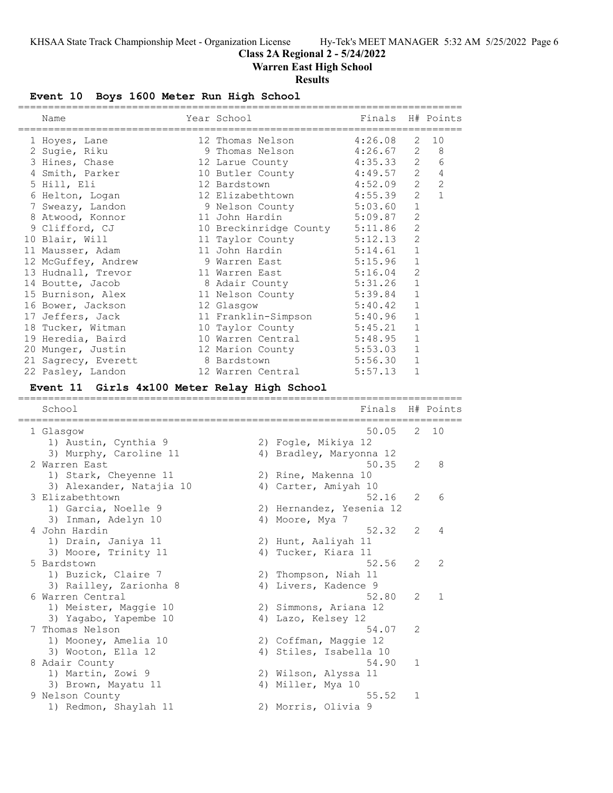**Class 2A Regional 2 - 5/24/2022**

**Warren East High School**

# **Results**

# **Event 10 Boys 1600 Meter Run High School**

| Name                                                       | Year School              | Finals             |                | H# Points |
|------------------------------------------------------------|--------------------------|--------------------|----------------|-----------|
|                                                            |                          |                    |                |           |
| 1 Hoyes, Lane                                              | 12 Thomas Nelson         | 4:26.08            | 2<br>2         | 10<br>8   |
| 2 Sugie, Riku                                              | 9 Thomas Nelson          | 4:26.67<br>4:35.33 | 2              |           |
| 3 Hines, Chase                                             | 12 Larue County          |                    | $\overline{2}$ | 6         |
| 4 Smith, Parker                                            | 10 Butler County         | 4:49.57            |                | 4         |
| 5 Hill, Eli                                                | 12 Bardstown             | 4:52.09            | 2              | 2         |
| 6 Helton, Logan                                            | 12 Elizabethtown         | 4:55.39            | 2              | 1         |
| 7 Sweazy, Landon                                           | 9 Nelson County          | 5:03.60            | $\mathbf{1}$   |           |
| 8 Atwood, Konnor                                           | 11 John Hardin           | 5:09.87            | 2              |           |
| 9 Clifford, CJ                                             | 10 Breckinridge County   | 5:11.86            | $\mathbf{2}$   |           |
| 10 Blair, Will                                             | 11 Taylor County         | 5:12.13            | 2              |           |
| 11 Mausser, Adam                                           | 11 John Hardin           | 5:14.61            | 1              |           |
| 12 McGuffey, Andrew                                        | 9 Warren East            | 5:15.96            | 1              |           |
| 13 Hudnall, Trevor                                         | 11 Warren East           | 5:16.04            | 2              |           |
| 14 Boutte, Jacob                                           | 8 Adair County           | 5:31.26            | $\mathbf{1}$   |           |
| 15 Burnison, Alex                                          | 11 Nelson County         | 5:39.84            | 1              |           |
| 16 Bower, Jackson                                          | 12 Glasgow               | 5:40.42            | 1              |           |
| 17 Jeffers, Jack                                           | 11 Franklin-Simpson      | 5:40.96            | 1              |           |
| 18 Tucker, Witman                                          | 10 Taylor County         | 5:45.21            | 1              |           |
| 19 Heredia, Baird                                          | 10 Warren Central        | 5:48.95            | 1              |           |
| 20 Munger, Justin                                          | 12 Marion County         | 5:53.03            | 1              |           |
| 21 Sagrecy, Everett                                        | 8 Bardstown              | 5:56.30            | 1              |           |
| 22 Pasley, Landon                                          | 12 Warren Central        | 5:57.13            | 1              |           |
| Event 11 Girls 4x100 Meter Relay High School               |                          |                    |                |           |
|                                                            |                          |                    |                |           |
| School<br>============<br>================================ |                          | Finals             |                | H# Points |
| 1 Glasgow                                                  |                          | 50.05              | 2              | 10        |
| 1) Austin, Cynthia 9                                       | 2) Fogle, Mikiya 12      |                    |                |           |
| 3) Murphy, Caroline 11                                     | 4) Bradley, Maryonna 12  |                    |                |           |
| 2 Warren East                                              |                          | 50.35              | 2              | 8         |
| 1) Stark, Cheyenne 11                                      | 2) Rine, Makenna 10      |                    |                |           |
| 3) Alexander, Natajia 10                                   |                          |                    |                |           |
|                                                            |                          |                    |                |           |
|                                                            | 4) Carter, Amiyah 10     |                    |                |           |
| 3 Elizabethtown                                            |                          | 52.16              | 2              | 6         |
| 1) Garcia, Noelle 9                                        | 2) Hernandez, Yesenia 12 |                    |                |           |
| 3) Inman, Adelyn 10                                        | 4) Moore, Mya 7          |                    |                |           |
| 4 John Hardin                                              |                          | 52.32              | 2              | 4         |
| 1) Drain, Janiya 11                                        | 2) Hunt, Aaliyah 11      |                    |                |           |
| 3) Moore, Trinity 11                                       | 4) Tucker, Kiara 11      |                    |                |           |
| 5 Bardstown                                                |                          | 52.56              | 2              | 2         |
| 1) Buzick, Claire 7                                        | 2) Thompson, Niah 11     |                    |                |           |
| 3) Railley, Zarionha 8                                     | 4) Livers, Kadence 9     |                    |                |           |
| 6 Warren Central                                           |                          | 52.80              | 2              | 1         |
| 1) Meister, Maggie 10                                      | 2) Simmons, Ariana 12    |                    |                |           |
| 3) Yagabo, Yapembe 10                                      | 4) Lazo, Kelsey 12       |                    |                |           |
| 7 Thomas Nelson                                            |                          | 54.07              | 2              |           |
| 1) Mooney, Amelia 10                                       | 2) Coffman, Maggie 12    |                    |                |           |
| 3) Wooton, Ella 12                                         | 4) Stiles, Isabella 10   |                    |                |           |
| 8 Adair County                                             |                          | 54.90              | 1              |           |
| 1) Martin, Zowi 9                                          | 2) Wilson, Alyssa 11     |                    |                |           |
| 3) Brown, Mayatu 11                                        | 4) Miller, Mya 10        |                    |                |           |
| 9 Nelson County                                            |                          | 55.52              | 1              |           |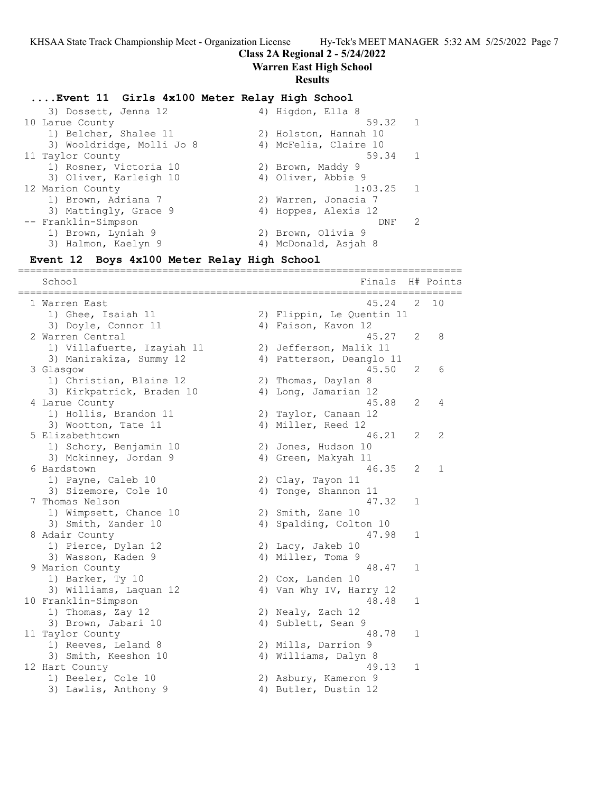### **Class 2A Regional 2 - 5/24/2022**

### **Warren East High School**

#### **Results**

### **....Event 11 Girls 4x100 Meter Relay High School**

3) Dossett, Jenna 12 4) Higdon, Ella 8<br>10 Larue County 59.32 1 10 Larue County 59.32 1 1) Belcher, Shalee 11 2) Holston, Hannah 10 3) Wooldridge, Molli Jo 8 4) McFelia, Claire 10 11 Taylor County 59.34 1 1) Rosner, Victoria 10 2) Brown, Maddy 9 3) Oliver, Karleigh 10  $\hskip 1.6cm 4$  Oliver, Abbie 9 12 Marion County 1:03.25 1 1) Brown, Adriana 7 2) Warren, Jonacia 7 3) Mattingly, Grace 9 (4) Hoppes, Alexis 12 -- Franklin-Simpson DNF 2 1) Brown, Lyniah 9 2) Brown, Olivia 9 3) Halmon, Kaelyn 9 19 10 4) McDonald, Asjah 8

### **Event 12 Boys 4x100 Meter Relay High School**

========================================================================== School **Finals** H# Points ========================================================================== 1 Warren East 45.24 2 10 1) Ghee, Isaiah 11 2) Flippin, Le Quentin 11 3) Doyle, Connor 11 (4) Faison, Kavon 12 2 Warren Central 45.27 2 8 1) Villafuerte, Izayiah 11 2) Jefferson, Malik 11 3) Manirakiza, Summy 12 4) Patterson, Deanglo 11 3 Glasgow 45.50 2 6 1) Christian, Blaine 12 (2) Thomas, Daylan 8 3) Kirkpatrick, Braden 10  $\hskip1cm$  4) Long, Jamarian 12 4 Larue County 45.88 2 4 1) Hollis, Brandon 11 2) Taylor, Canaan 12 3) Hollis, Brandon 11 (2) Taylor, Canaan 12<br>3) Wootton, Tate 11 (4) Miller, Reed 12<br>5 Elizabethtown (46.21 (2) 5 Elizabethtown 46.21 2 2 1) Schory, Benjamin 10 2) Jones, Hudson 10 3) Mckinney, Jordan 9 1944 (1988) 4 4 Green, Makyah 11 6 Bardstown 46.35 2 1 1) Payne, Caleb 10 2) Clay, Tayon 11 3) Sizemore, Cole 10 (4) Tonge, Shannon 11 7 Thomas Nelson 47.32 1 1) Wimpsett, Chance 10 2) Smith, Zane 10 3) Smith, Zander 10 4) Spalding, Colton 10 8 Adair County 1998 1 1) Pierce, Dylan 12 2) Lacy, Jakeb 10 3) Wasson, Kaden 9 19 10 11 4 4 Miller, Toma 9 Marion County 48.47 1 1) Barker, Ty 10 2) Cox, Landen 10 3) Williams, Laquan 12 4) Van Why IV, Harry 12 10 Franklin-Simpson 48.48 1 1) Thomas, Zay 12 2) Nealy, Zach 12 3) Brown, Jabari 10 4) Sublett, Sean 9 11 Taylor County 48.78 1 1) Reeves, Leland 8 2) Mills, Darrion 9 3) Smith, Keeshon 10  $\hskip1cm$  4) Williams, Dalyn 8 12 Hart County 49.13 1 1) Beeler, Cole 10 2) Asbury, Kameron 9 3) Lawlis, Anthony 9 (4) Butler, Dustin 12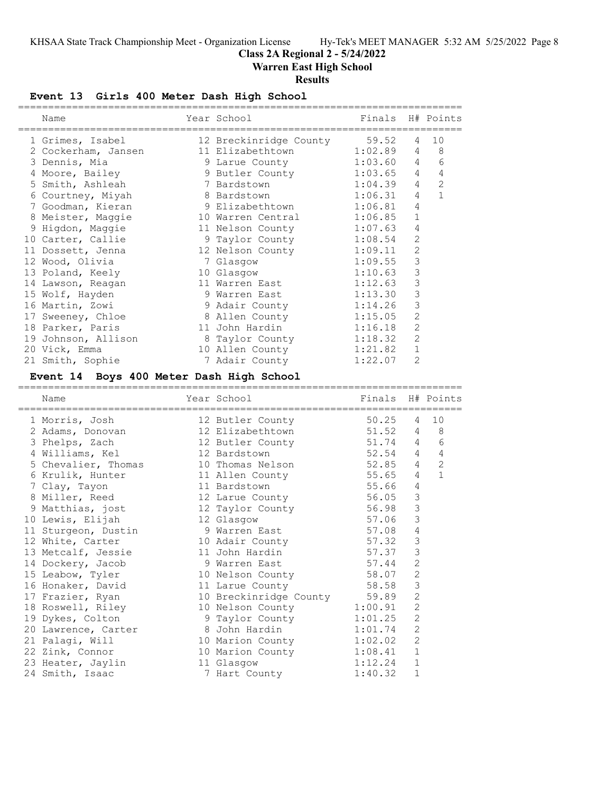# **Class 2A Regional 2 - 5/24/2022**

**Warren East High School**

# **Results**

# **Event 13 Girls 400 Meter Dash High School**

| Name                                     | Year School                          | Finals             |                | H# Points      |
|------------------------------------------|--------------------------------------|--------------------|----------------|----------------|
|                                          |                                      |                    |                |                |
| 1 Grimes, Isabel                         | 12 Breckinridge County               | 59.52              | 4              | 10             |
| 2 Cockerham, Jansen                      | 11 Elizabethtown                     | 1:02.89            | 4              | $\,8\,$        |
| 3 Dennis, Mia                            | 9 Larue County                       | 1:03.60            | 4              | 6              |
| 4 Moore, Bailey                          | 9 Butler County                      | 1:03.65            | 4              | 4              |
| 5 Smith, Ashleah                         | 7 Bardstown                          | 1:04.39            | 4              | 2              |
| 6 Courtney, Miyah                        | 8 Bardstown                          | 1:06.31            | 4              | $\mathbf{1}$   |
| 7 Goodman, Kieran                        | 9 Elizabethtown                      | 1:06.81            | 4              |                |
| 8 Meister, Maggie                        | 10 Warren Central                    | 1:06.85            | 1              |                |
| 9 Higdon, Maggie                         | 11 Nelson County                     | 1:07.63            | 4              |                |
| 10 Carter, Callie                        | 9 Taylor County                      | 1:08.54            | $\mathbf{2}$   |                |
| 11 Dossett, Jenna                        | 12 Nelson County                     | 1:09.11            | $\mathbf{2}$   |                |
| 12 Wood, Olivia                          | 7 Glasgow                            | 1:09.55            | 3              |                |
| 13 Poland, Keely                         | 10 Glasgow                           | 1:10.63            | 3              |                |
| 14 Lawson, Reagan                        | 11 Warren East                       | 1:12.63            | $\mathsf 3$    |                |
| 15 Wolf, Hayden                          | 9 Warren East                        | 1:13.30            | 3              |                |
| 16 Martin, Zowi                          | 9 Adair County                       | 1:14.26            | 3              |                |
| 17 Sweeney, Chloe                        | 8 Allen County                       | 1:15.05            | $\mathbf{2}$   |                |
| 18 Parker, Paris                         | 11 John Hardin                       | 1:16.18            | 2              |                |
| 19 Johnson, Allison                      | 8 Taylor County                      | 1:18.32            | $\overline{2}$ |                |
| 20 Vick, Emma                            | 10 Allen County                      | 1:21.82            | $\mathbf 1$    |                |
| 21 Smith, Sophie                         | 7 Adair County                       | 1:22.07            | $\overline{2}$ |                |
| Event 14 Boys 400 Meter Dash High School |                                      |                    |                |                |
|                                          |                                      |                    |                |                |
|                                          |                                      |                    |                |                |
| Name                                     | Year School                          | Finals             |                | H# Points      |
| 1 Morris, Josh                           |                                      | 50.25              | 4              | 10             |
|                                          | 12 Butler County<br>12 Elizabethtown |                    | 4              | 8              |
| 2 Adams, Donovan                         |                                      | 51.52<br>51.74     | 4              | 6              |
| 3 Phelps, Zach                           | 12 Butler County<br>12 Bardstown     |                    | 4              | 4              |
| 4 Williams, Kel                          |                                      | 52.54              | $\overline{4}$ | $\overline{2}$ |
| 5 Chevalier, Thomas                      | 10 Thomas Nelson                     | 52.85              | 4              | $\mathbf{1}$   |
| 6 Krulik, Hunter                         | 11 Allen County                      | 55.65              | 4              |                |
| 7 Clay, Tayon                            | 11 Bardstown                         | 55.66              |                |                |
| 8 Miller, Reed                           | 12 Larue County                      | 56.05              | 3              |                |
| 9 Matthias, jost                         | 12 Taylor County                     | 56.98              | 3              |                |
| 10 Lewis, Elijah                         | 12 Glasgow                           | 57.06              | 3              |                |
| 11 Sturgeon, Dustin                      | 9 Warren East                        | 57.08              | 4              |                |
| 12 White, Carter                         | 10 Adair County                      | 57.32              | 3              |                |
| 13 Metcalf, Jessie                       | 11 John Hardin                       | 57.37              | 3              |                |
| 14 Dockery, Jacob                        | 9 Warren East                        | 57.44              | 2              |                |
| 15 Leabow, Tyler                         | 10 Nelson County                     | 58.07              | 2              |                |
| 16 Honaker, David                        | 11 Larue County                      | 58.58              | 3              |                |
| 17 Frazier, Ryan                         | 10 Breckinridge County               | 59.89              | $\mathbf{2}$   |                |
| 18 Roswell, Riley                        | 10 Nelson County                     | 1:00.91            | $\mathbf{2}$   |                |
| 19 Dykes, Colton                         | 9 Taylor County                      | 1:01.25            | $\mathbf{2}$   |                |
| 20 Lawrence, Carter                      | 8 John Hardin                        | 1:01.74            | $\mathbf{2}$   |                |
| 21 Palagi, Will                          | 10 Marion County                     | 1:02.02            | 2              |                |
| 22 Zink, Connor                          | 10 Marion County                     | 1:08.41            | 1              |                |
| 23 Heater, Jaylin<br>24 Smith, Isaac     | 11 Glasgow<br>7 Hart County          | 1:12.24<br>1:40.32 | 1<br>1         |                |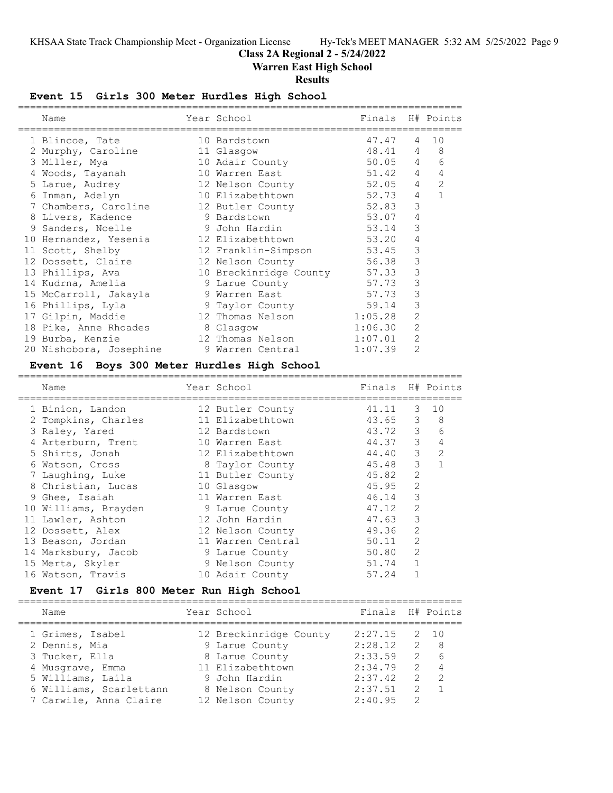# **Class 2A Regional 2 - 5/24/2022**

**Warren East High School**

### **Results**

# **Event 15 Girls 300 Meter Hurdles High School**

| Name                    | Year School            | Finals H# Points |                |                |
|-------------------------|------------------------|------------------|----------------|----------------|
| 1 Blincoe, Tate         | 10 Bardstown           | 47.47            | $\overline{4}$ | 10             |
| 2 Murphy, Caroline      | 11 Glasgow             | 48.41            | 4              | 8              |
| 3 Miller, Mya           | 10 Adair County        | $50.05$ 4        |                | 6              |
| 4 Woods, Tayanah        | 10 Warren East         | 51.42            | $\overline{4}$ | $\overline{4}$ |
| 5 Larue, Audrey         | 12 Nelson County       | 52.05            | $\overline{4}$ | 2              |
| 6 Inman, Adelyn         | 10 Elizabethtown       | 52.73            | $\overline{4}$ | $\mathbf{1}$   |
| 7 Chambers, Caroline    | 12 Butler County       | 52.83            | 3              |                |
| 8 Livers, Kadence       | 9 Bardstown            | 53.07            | $\overline{4}$ |                |
| 9 Sanders, Noelle       | 9 John Hardin          | 53.14            | 3              |                |
| 10 Hernandez, Yesenia   | 12 Elizabethtown       | 53.20            | 4              |                |
| 11 Scott, Shelby        | 12 Franklin-Simpson    | 53.45            | 3              |                |
| 12 Dossett, Claire      | 12 Nelson County       | 56.38            | 3              |                |
| 13 Phillips, Ava        | 10 Breckinridge County | 57.33            | 3              |                |
| 14 Kudrna, Amelia       | 9 Larue County         | 57.73            | 3              |                |
| 15 McCarroll, Jakayla   | 9 Warren East          | 57.73            | 3              |                |
| 16 Phillips, Lyla       | 9 Taylor County        | 59.14            | 3              |                |
| 17 Gilpin, Maddie       | 12 Thomas Nelson       | 1:05.28          | $\overline{2}$ |                |
| 18 Pike, Anne Rhoades   | 8 Glasgow              | 1:06.30          | $\overline{2}$ |                |
| 19 Burba, Kenzie        | 12 Thomas Nelson       | 1:07.01          | $\overline{2}$ |                |
| 20 Nishobora, Josephine | 9 Warren Central       | 1:07.39          | $\overline{2}$ |                |

### **Event 16 Boys 300 Meter Hurdles High School**

==========================================================================

| Name                 | Year School       | Finals  |                | H# Points     |
|----------------------|-------------------|---------|----------------|---------------|
| 1 Binion, Landon     | 12 Butler County  | 41.11   | 3              | 10            |
| 2 Tompkins, Charles  | 11 Elizabethtown  | 43.65   | 3              | 8             |
| 3 Raley, Yared       | 12 Bardstown      | 43.72 3 |                | 6             |
| 4 Arterburn, Trent   | 10 Warren East    | 44.37   | 3              | 4             |
| 5 Shirts, Jonah      | 12 Elizabethtown  | 44.40   | 3              | $\mathcal{L}$ |
| 6 Watson, Cross      | 8 Taylor County   | 45.48   | 3              | $\mathbf{1}$  |
| 7 Laughing, Luke     | 11 Butler County  | 45.82   | $\overline{2}$ |               |
| 8 Christian, Lucas   | 10 Glasgow        | 45.95   | 2              |               |
| 9 Ghee, Isaiah       | 11 Warren East    | 46.14   | 3              |               |
| 10 Williams, Brayden | 9 Larue County    | 47.12   | 2              |               |
| 11 Lawler, Ashton    | 12 John Hardin    | 47.63   | 3              |               |
| 12 Dossett, Alex     | 12 Nelson County  | 49.36   | 2              |               |
| 13 Beason, Jordan    | 11 Warren Central | 50.11   | $\mathcal{L}$  |               |
| 14 Marksbury, Jacob  | 9 Larue County    | 50.80   | 2              |               |
| 15 Merta, Skyler     | 9 Nelson County   | 51.74   | $\mathbf{1}$   |               |
| 16 Watson, Travis    | 10 Adair County   | 57.24   |                |               |
|                      |                   |         |                |               |

### **Event 17 Girls 800 Meter Run High School**

| Finals H# Points<br>Year School<br>Name                                |                |
|------------------------------------------------------------------------|----------------|
| 2:27.15<br>12 Breckinridge County<br>1 Grimes, Isabel                  | 2 10           |
| 2:28.12<br>2 Dennis, Mia<br>2 8<br>9 Larue County                      |                |
| 2:33.59<br>2<br>3 Tucker, Ella<br>8 Larue County                       | 6              |
| 11 Elizabethtown<br>2:34.79<br>4 Musqrave, Emma                        | $2 \quad 4$    |
| 5 Williams, Laila<br>2:37.42<br>$\overline{2}$<br>9 John Hardin        | $\overline{2}$ |
| 2:37.51<br>6 Williams, Scarlettann<br>$\mathcal{P}$<br>8 Nelson County | $\overline{1}$ |
| 7 Carwile, Anna Claire<br>2:40.95<br>12 Nelson County<br>$\mathcal{L}$ |                |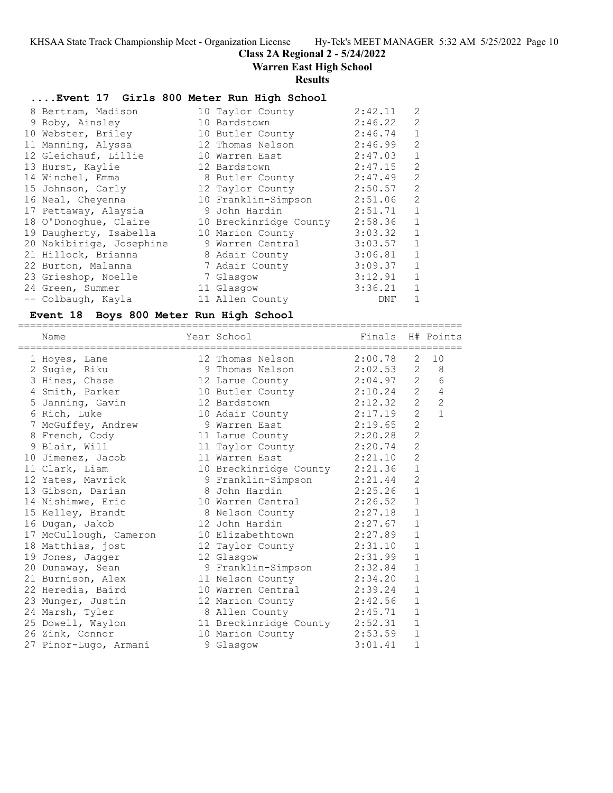### **Class 2A Regional 2 - 5/24/2022**

**Warren East High School**

#### **Results**

### **....Event 17 Girls 800 Meter Run High School**

| 8 Bertram, Madison       | 10 Taylor County       | 2:42.11 | 2            |
|--------------------------|------------------------|---------|--------------|
| 9 Roby, Ainsley          | 10 Bardstown           | 2:46.22 | 2            |
| 10 Webster, Briley       | 10 Butler County       | 2:46.74 | $\mathbf{1}$ |
| 11 Manning, Alyssa       | 12 Thomas Nelson       | 2:46.99 | 2            |
| 12 Gleichauf, Lillie     | 10 Warren East         | 2:47.03 | $\mathbf{1}$ |
| 13 Hurst, Kaylie         | 12 Bardstown           | 2:47.15 | 2            |
| 14 Winchel, Emma         | 8 Butler County        | 2:47.49 | 2            |
| 15 Johnson, Carly        | 12 Taylor County       | 2:50.57 | 2            |
| 16 Neal, Cheyenna        | 10 Franklin-Simpson    | 2:51.06 | 2            |
| 17 Pettaway, Alaysia     | 9 John Hardin          | 2:51.71 | $\mathbf{1}$ |
| 18 O'Donoghue, Claire    | 10 Breckinridge County | 2:58.36 | $\mathbf{1}$ |
| 19 Daugherty, Isabella   | 10 Marion County       | 3:03.32 | $\mathbf{1}$ |
| 20 Nakibirige, Josephine | 9 Warren Central       | 3:03.57 | $\mathbf{1}$ |
| 21 Hillock, Brianna      | 8 Adair County         | 3:06.81 | $\mathbf{1}$ |
| 22 Burton, Malanna       | 7 Adair County         | 3:09.37 | $\mathbf{1}$ |
| 23 Grieshop, Noelle      | 7 Glasgow              | 3:12.91 | 1            |
| 24 Green, Summer         | 11 Glasgow             | 3:36.21 | $\mathbf{1}$ |
| -- Colbaugh, Kayla       | 11 Allen County        | DNF     | $\mathbf{1}$ |

#### **Event 18 Boys 800 Meter Run High School**

========================================================================== Name Year School Finals H# Points ========================================================================== 1 Hoyes, Lane 12 Thomas Nelson 2:00.78 2 10 2 Sugie, Riku 9 Thomas Nelson 2:02.53 2 8 3 Hines, Chase 12 Larue County 2:04.97 2 6 4 Smith, Parker 10 Butler County 2:10.24 2 4 5 Janning, Gavin 12 Bardstown 2:12.32 2 2 6 Rich, Luke 10 Adair County 2:17.19 2 1 7 McGuffey, Andrew 9 Warren East 2:19.65 2 8 French, Cody 11 Larue County 2:20.28 2 9 Blair, Will 11 Taylor County 2:20.74 2 10 Jimenez, Jacob 11 Warren East 2:21.10 2 11 Clark, Liam 10 Breckinridge County 2:21.36 1 12 Yates, Mavrick 9 Franklin-Simpson 2:21.44 2 13 Gibson, Darian 8 John Hardin 2:25.26 1 14 Nishimwe, Eric 10 Warren Central 2:26.52 1 15 Kelley, Brandt 8 Nelson County 2:27.18 1 16 Dugan, Jakob 12 John Hardin 2:27.67 1 17 McCullough, Cameron 10 Elizabethtown 2:27.89 1 18 Matthias, jost 12 Taylor County 2:31.10 1 19 Jones, Jagger 12 Glasgow 2:31.99 1 20 Dunaway, Sean 9 Franklin-Simpson 2:32.84 1 21 Burnison, Alex 11 Nelson County 2:34.20 1 22 Heredia, Baird 10 Warren Central 2:39.24 1 23 Munger, Justin 12 Marion County 2:42.56 1 24 Marsh, Tyler 8 Allen County 2:45.71 1 25 Dowell, Waylon 11 Breckinridge County 2:52.31 1 26 Zink, Connor 10 Marion County 2:53.59 1 27 Pinor-Lugo, Armani 9 Glasgow 3:01.41 1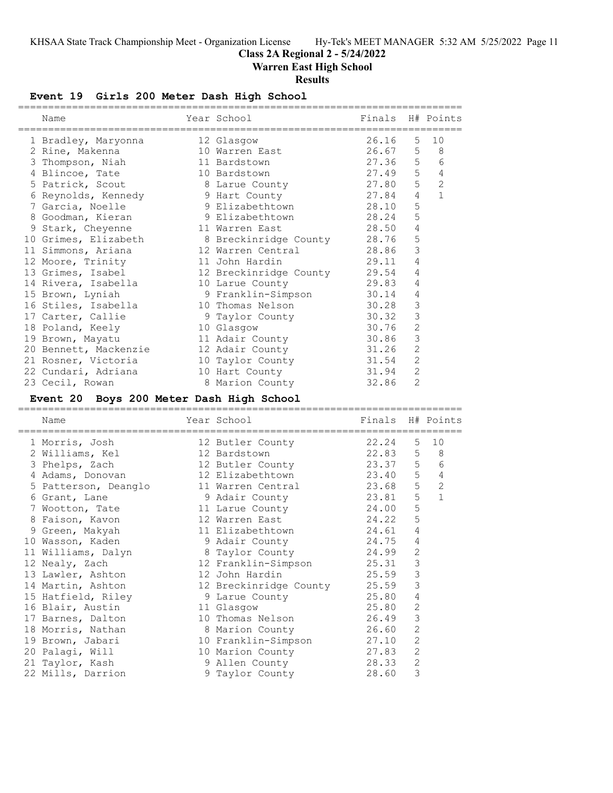# **Class 2A Regional 2 - 5/24/2022**

**Warren East High School**

# **Results**

# **Event 19 Girls 200 Meter Dash High School**

| Name                                             | Year School<br>-------------------- | Finals H# Points |                |                |
|--------------------------------------------------|-------------------------------------|------------------|----------------|----------------|
| 1 Bradley, Maryonna                              | 12 Glasgow                          | 26.16            | 5 <sub>1</sub> | 10             |
| 2 Rine, Makenna                                  | 10 Warren East                      | $26.67$ 5        |                | 8 <sup>8</sup> |
| 3 Thompson, Niah                                 | 11 Bardstown                        | 27.36 5          |                | 6              |
| 4 Blincoe, Tate                                  | 10 Bardstown                        | 27.49 5          |                | $\overline{4}$ |
| 5 Patrick, Scout 3 Larue County                  |                                     | 27.80            | 5              | $\overline{2}$ |
| 6 Reynolds, Kennedy 9 Hart County                |                                     | 27.84            | 4              | $\mathbf{1}$   |
| 7 Garcia, Noelle                                 | 9 Elizabethtown                     | 28.10            | 5              |                |
| 8 Goodman, Kieran                                | 9 Elizabethtown                     | 28.24            | 5              |                |
| 9 Stark, Cheyenne                                | 11 Warren East                      | 28.50            | $\overline{4}$ |                |
| 10 Grimes, Elizabeth 8 Breckinridge County 28.76 |                                     |                  | 5              |                |
| 11 Simmons, Ariana                               | 12 Warren Central 28.86             |                  | 3              |                |
| 12 Moore, Trinity                                | 11 John Hardin                      | 29.11            | 4              |                |
| 13 Grimes, Isabel                                | 12 Breckinridge County 29.54        |                  | 4              |                |
| 14 Rivera, Isabella                              | 10 Larue County                     | 29.83            | 4              |                |
| 15 Brown, Lyniah                                 | 9 Franklin-Simpson 30.14            |                  | 4              |                |
| 16 Stiles, Isabella                              | 10 Thomas Nelson                    | 30.28            | 3              |                |
| 17 Carter, Callie                                | 9 Taylor County                     | 30.32            | 3              |                |
| 18 Poland, Keely                                 | 10 Glasgow                          | 30.76            | $\overline{2}$ |                |
| 19 Brown, Mayatu                                 | 11 Adair County                     | 30.86            | 3              |                |
| 20 Bennett, Mackenzie                            | 12 Adair County                     | 31.26            | $\overline{c}$ |                |
| 21 Rosner, Victoria                              | 10 Taylor County 31.54              |                  | 2              |                |
| 22 Cundari, Adriana                              | 10 Hart County                      | 31.94            | $\overline{c}$ |                |
| 23 Cecil, Rowan                                  | 8 Marion County                     | 32.86            | $\overline{2}$ |                |

# **Event 20 Boys 200 Meter Dash High School**

| Name                 | Year School                    | Finals H# Points |                |                |
|----------------------|--------------------------------|------------------|----------------|----------------|
| 1 Morris, Josh       | 12 Butler County               | 22.24            | $5 -$          | 10             |
| 2 Williams, Kel      | 22.83<br>12 Bardstown          |                  | 5              | 8 <sup>8</sup> |
| 3 Phelps, Zach       | 12 Butler County               | 23.37 5 6        |                |                |
| 4 Adams, Donovan     | 12 Elizabethtown 23.40         |                  | 5 <sup>5</sup> | $\overline{4}$ |
| 5 Patterson, Deanglo | 11 Warren Central              | 23.68            | 5              | $\overline{c}$ |
| 6 Grant, Lane        | 9 Adair County 23.81           |                  | 5              | $\overline{1}$ |
| 7 Wootton, Tate      | 11 Larue County                | 24.00            | 5              |                |
| 8 Faison, Kavon      | 24.22<br>12 Warren East        |                  | 5              |                |
| 9 Green, Makyah      | 11 Elizabethtown               | 24.61            | 4              |                |
| 10 Wasson, Kaden     | 9 Adair County 1997-1997 24.75 |                  | 4              |                |
| 11 Williams, Dalyn   | 8 Taylor County 24.99          |                  | $\overline{2}$ |                |
| 12 Nealy, Zach       | 12 Franklin-Simpson 25.31      |                  | 3              |                |
| 13 Lawler, Ashton    | 12 John Hardin                 | 25.59            | 3              |                |
| 14 Martin, Ashton    | 12 Breckinridge County         | 25.59            | 3              |                |
| 15 Hatfield, Riley   | 9 Larue County                 | 25.80            | 4              |                |
| 16 Blair, Austin     | 11 Glasgow                     | 25.80            | $\overline{2}$ |                |
| 17 Barnes, Dalton    | 10 Thomas Nelson               | 26.49            | 3              |                |
| 18 Morris, Nathan    | 8 Marion County                | 26.60            | $\overline{2}$ |                |
| 19 Brown, Jabari     | 10 Franklin-Simpson            | 27.10            | $\overline{2}$ |                |
| 20 Palagi, Will      | 10 Marion County               | 27.83            | $\mathbf{2}$   |                |
| 21 Taylor, Kash      | 9 Allen County                 | 28.33            | $\mathbf{2}$   |                |
| 22 Mills, Darrion    | 9 Taylor County                | 28.60            | 3              |                |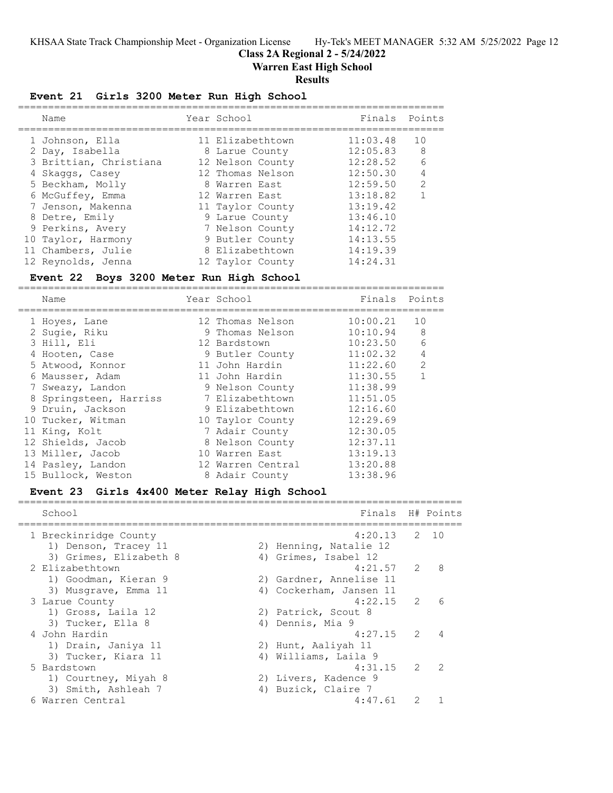**Class 2A Regional 2 - 5/24/2022**

**Warren East High School**

### **Results**

# **Event 21 Girls 3200 Meter Run High School**

| Name                   | Year School      | Finals   | Points        |
|------------------------|------------------|----------|---------------|
| 1 Johnson, Ella        | 11 Elizabethtown | 11:03.48 | 10            |
| 2 Day, Isabella        | 8 Larue County   | 12:05.83 | -8            |
| 3 Brittian, Christiana | 12 Nelson County | 12:28.52 | 6             |
| 4 Skaggs, Casey        | 12 Thomas Nelson | 12:50.30 | 4             |
| 5 Beckham, Molly       | 8 Warren East    | 12:59.50 | $\mathcal{L}$ |
| 6 McGuffey, Emma       | 12 Warren East   | 13:18.82 |               |
| 7 Jenson, Makenna      | 11 Taylor County | 13:19.42 |               |
| 8 Detre, Emily         | 9 Larue County   | 13:46.10 |               |
| 9 Perkins, Avery       | 7 Nelson County  | 14:12.72 |               |
| 10 Taylor, Harmony     | 9 Butler County  | 14:13.55 |               |
| 11 Chambers, Julie     | 8 Elizabethtown  | 14:19.39 |               |
| 12 Reynolds, Jenna     | 12 Taylor County | 14:24.31 |               |

### **Event 22 Boys 3200 Meter Run High School**

=======================================================================

| Name                   | Year School       | Finals   | Points        |
|------------------------|-------------------|----------|---------------|
| 1 Hoyes, Lane          | 12 Thomas Nelson  | 10:00.21 | 10            |
| 2 Sugie, Riku          | 9 Thomas Nelson   | 10:10.94 | 8             |
| 3 Hill, Eli            | 12 Bardstown      | 10:23.50 | 6             |
| 4 Hooten, Case         | 9 Butler County   | 11:02.32 | 4             |
| 5 Atwood, Konnor       | 11 John Hardin    | 11:22.60 | $\mathcal{L}$ |
| 6 Mausser, Adam        | 11 John Hardin    | 11:30.55 | 1             |
| 7 Sweazy, Landon       | 9 Nelson County   | 11:38.99 |               |
| 8 Springsteen, Harriss | 7 Elizabethtown   | 11:51.05 |               |
| 9 Druin, Jackson       | 9 Elizabethtown   | 12:16.60 |               |
| 10 Tucker, Witman      | 10 Taylor County  | 12:29.69 |               |
| 11 King, Kolt          | 7 Adair County    | 12:30.05 |               |
| 12 Shields, Jacob      | 8 Nelson County   | 12:37.11 |               |
| 13 Miller, Jacob       | 10 Warren East    | 13:19.13 |               |
| 14 Pasley, Landon      | 12 Warren Central | 13:20.88 |               |
| 15 Bullock, Weston     | 8 Adair County    | 13:38.96 |               |

### **Event 23 Girls 4x400 Meter Relay High School**

| School                 | Finals H# Points        |               |                |
|------------------------|-------------------------|---------------|----------------|
| 1 Breckinridge County  | $4:20.13$ 2 10          |               |                |
| 1) Denson, Tracey 11   | 2) Henning, Natalie 12  |               |                |
| 3) Grimes, Elizabeth 8 | 4) Grimes, Isabel 12    |               |                |
| 2 Elizabethtown        | $4:21.57$ 2             |               | 8              |
| 1) Goodman, Kieran 9   | 2) Gardner, Annelise 11 |               |                |
| 3) Musgrave, Emma 11   | 4) Cockerham, Jansen 11 |               |                |
| 3 Larue County         | $4:22.15$ 2             |               | 6              |
| 1) Gross, Laila 12     | 2) Patrick, Scout 8     |               |                |
| 3) Tucker, Ella 8      | 4) Dennis, Mia 9        |               |                |
| 4 John Hardin          | $4:27.15$ 2             |               |                |
| 1) Drain, Janiya 11    | 2) Hunt, Aaliyah 11     |               |                |
| 3) Tucker, Kiara 11    | 4) Williams, Laila 9    |               |                |
| 5 Bardstown            | 4:31.15                 | $\mathcal{L}$ | $\overline{2}$ |
| 1) Courtney, Miyah 8   | 2) Livers, Kadence 9    |               |                |
| 3) Smith, Ashleah 7    | 4) Buzick, Claire 7     |               |                |
| Warren Central         | 4:47.61                 |               |                |
|                        |                         |               |                |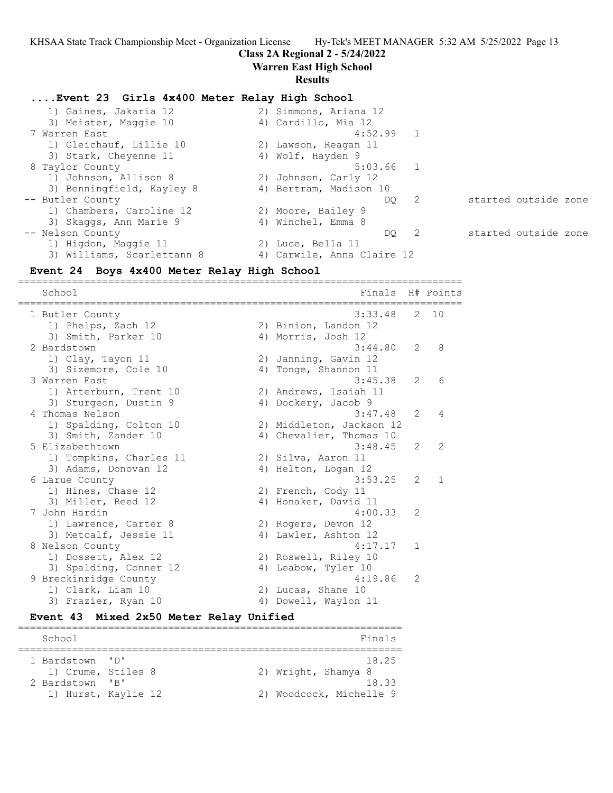### **Class 2A Regional 2 - 5/24/2022**

**Warren East High School**

#### **Results**

### **....Event 23 Girls 4x400 Meter Relay High School**

 1) Gaines, Jakaria 12 2) Simmons, Ariana 12 3) Meister, Maggie 10 (4) Cardillo, Mia 12 7 Warren East 4:52.99 1 1) Gleichauf, Lillie 10 (2) Lawson, Reagan 11 3) Stark, Cheyenne 11 4) Wolf, Hayden 9 8 Taylor County 6:03.66 1 1) Johnson, Allison 8 2) Johnson, Carly 12 3) Benningfield, Kayley 8 (4) Bertram, Madison 10 -- Butler County DQ 2 started outside zone 1) Chambers, Caroline 12 2) Moore, Bailey 9 3) Skaggs, Ann Marie 9 (4) Winchel, Emma 8 -- Nelson County DQ 2 started outside zone 1) Higdon, Maggie 11 and 2) Luce, Bella 11 3) Williams, Scarlettann 8 4) Carwile, Anna Claire 12

### **Event 24 Boys 4x400 Meter Relay High School**

========================================================================== School **Finals** H# Points ========================================================================== 1 Butler County 3:33.48 2 10 1) Phelps, Zach 12 2) Binion, Landon 12 3) Smith, Parker 10 4) Morris, Josh 12 2 Bardstown 3:44.80 2 8 1) Clay, Tayon 11 2) Janning, Gavin 12 3) Sizemore, Cole 10 (4) Tonge, Shannon 11 3 Warren East 3:45.38 2 6 1) Arterburn, Trent 10 2) Andrews, Isaiah 11 3) Sturgeon, Dustin 9 4) Dockery, Jacob 9 4 Thomas Nelson 3:47.48 2 4 1) Spalding, Colton 10 2) Middleton, Jackson 12 3) Smith, Zander 10 4) Chevalier, Thomas 10 5 Elizabethtown 3:48.45 2 2 1) Tompkins, Charles 11 (2) Silva, Aaron 11 3) Adams, Donovan 12 (4) Helton, Logan 12 6 Larue County 2012 12:53.25 2 1 1) Hines, Chase 12 2) French, Cody 11 3) Miller, Reed 12 4) Honaker, David 11 7 John Hardin 4:00.33 2 1) Lawrence, Carter 8 2) Rogers, Devon 12 3) Metcalf, Jessie 11 (4) Lawler, Ashton 12 8 Nelson County 2018 12:00 12:00 12:00 12:00 12:00 12:00 12:00 12:00 12:00 12:00 12:00 12:00 12:00 12:00 12:00 12:00 12:00 12:00 12:00 12:00 12:00 12:00 12:00 12:00 12:00 12:00 12:00 12:00 12:00 12:00 12:00 12:00 12:00 12: 1) Dossett, Alex 12 2) Roswell, Riley 10 3) Spalding, Conner 12 (4) Leabow, Tyler 10 9 Breckinridge County 4:19.86 2 1) Clark, Liam 10 2) Lucas, Shane 10 3) Frazier, Ryan 10 (4) Dowell, Waylon 11

### **Event 43 Mixed 2x50 Meter Relay Unified**

| School                                                                      |                         |  | Finals                                                          |
|-----------------------------------------------------------------------------|-------------------------|--|-----------------------------------------------------------------|
| 1 Bardstown 'D'<br>1) Crume, Stiles 8<br>2 Bardstown<br>1) Hurst, Kaylie 12 | $\overline{\mathbf{R}}$ |  | 18.25<br>2) Wright, Shamya 8<br>1833<br>2) Woodcock, Michelle 9 |